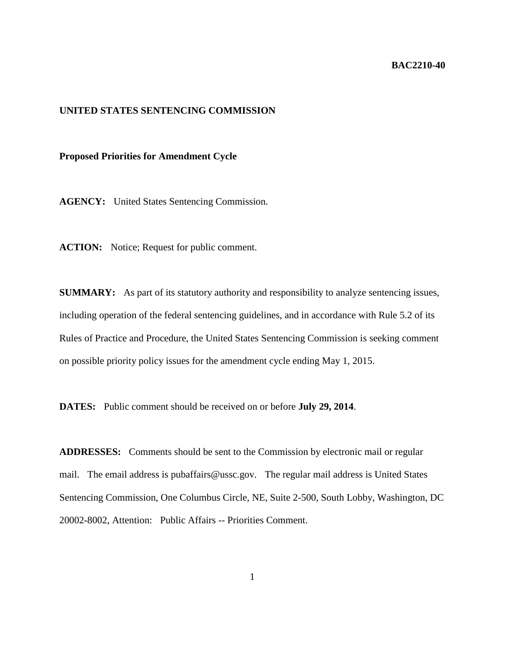## **BAC2210-40**

## **UNITED STATES SENTENCING COMMISSION**

## **Proposed Priorities for Amendment Cycle**

**AGENCY:** United States Sentencing Commission.

**ACTION:** Notice; Request for public comment.

**SUMMARY:** As part of its statutory authority and responsibility to analyze sentencing issues, including operation of the federal sentencing guidelines, and in accordance with Rule 5.2 of its Rules of Practice and Procedure, the United States Sentencing Commission is seeking comment on possible priority policy issues for the amendment cycle ending May 1, 2015.

**DATES:** Public comment should be received on or before **July 29, 2014**.

**ADDRESSES:** Comments should be sent to the Commission by electronic mail or regular mail. The email address is pubaffairs@ussc.gov. The regular mail address is United States Sentencing Commission, One Columbus Circle, NE, Suite 2-500, South Lobby, Washington, DC 20002-8002, Attention: Public Affairs -- Priorities Comment.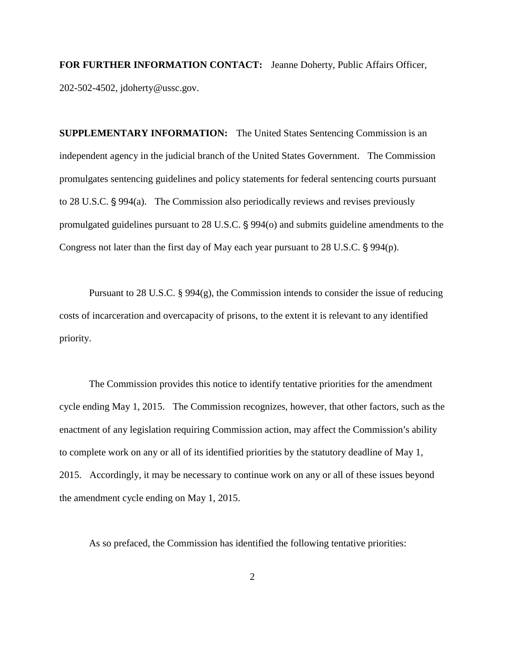**FOR FURTHER INFORMATION CONTACT:** Jeanne Doherty, Public Affairs Officer, 202-502-4502, jdoherty@ussc.gov.

**SUPPLEMENTARY INFORMATION:** The United States Sentencing Commission is an independent agency in the judicial branch of the United States Government. The Commission promulgates sentencing guidelines and policy statements for federal sentencing courts pursuant to 28 U.S.C.  $\S 994(a)$ . The Commission also periodically reviews and revises previously promulgated guidelines pursuant to  $28$  U.S.C.  $\S$  994(o) and submits guideline amendments to the Congress not later than the first day of May each year pursuant to  $28$  U.S.C.  $\S$  994(p).

Pursuant to 28 U.S.C. § 994(g), the Commission intends to consider the issue of reducing costs of incarceration and overcapacity of prisons, to the extent it is relevant to any identified priority.

The Commission provides this notice to identify tentative priorities for the amendment cycle ending May 1, 2015. The Commission recognizes, however, that other factors, such as the enactment of any legislation requiring Commission action, may affect the Commission's ability to complete work on any or all of its identified priorities by the statutory deadline of May 1, 2015. Accordingly, it may be necessary to continue work on any or all of these issues beyond the amendment cycle ending on May 1, 2015.

As so prefaced, the Commission has identified the following tentative priorities: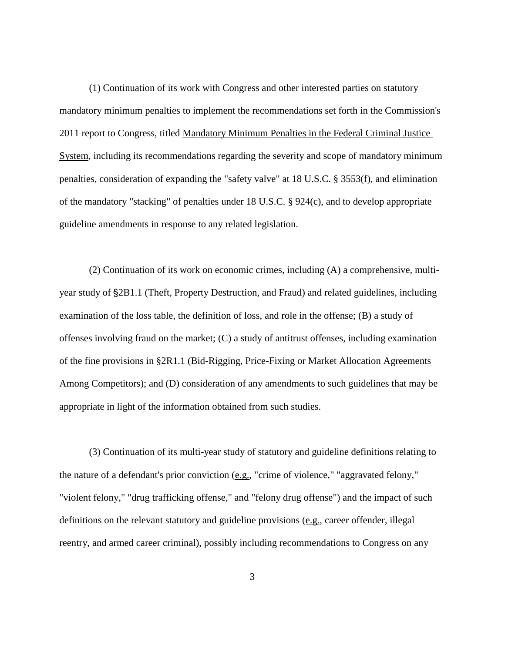(1) Continuation of its work with Congress and other interested parties on statutory mandatory minimum penalties to implement the recommendations set forth in the Commission's 2011 report to Congress, titled Mandatory Minimum Penalties in the Federal Criminal Justice System, including its recommendations regarding the severity and scope of mandatory minimum penalties, consideration of expanding the "safety valve" at 18 U.S.C. § 3553(f), and elimination of the mandatory "stacking" of penalties under 18 U.S.C. § 924(c), and to develop appropriate guideline amendments in response to any related legislation.

(2) Continuation of its work on economic crimes, including (A) a comprehensive, multiyear study of  $\S 2B1.1$  (Theft, Property Destruction, and Fraud) and related guidelines, including examination of the loss table, the definition of loss, and role in the offense; (B) a study of offenses involving fraud on the market; (C) a study of antitrust offenses, including examination of the fine provisions in §2R1.1 (Bid-Rigging, Price-Fixing or Market Allocation Agreements Among Competitors); and (D) consideration of any amendments to such guidelines that may be appropriate in light of the information obtained from such studies.

(3) Continuation of its multi-year study of statutory and guideline definitions relating to the nature of a defendant's prior conviction (e.g., "crime of violence," "aggravated felony," "violent felony," "drug trafficking offense," and "felony drug offense") and the impact of such definitions on the relevant statutory and guideline provisions (e.g., career offender, illegal reentry, and armed career criminal), possibly including recommendations to Congress on any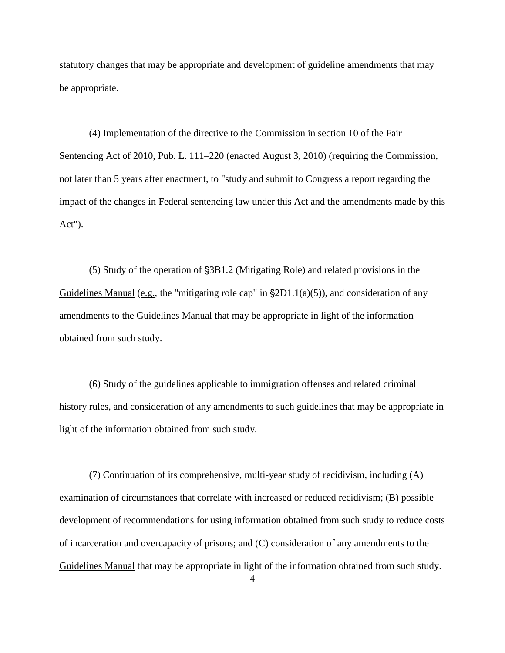statutory changes that may be appropriate and development of guideline amendments that may be appropriate.

(4) Implementation of the directive to the Commission in section 10 of the Fair Sentencing Act of 2010, Pub. L. 111–220 (enacted August 3, 2010) (requiring the Commission, not later than 5 years after enactment, to "study and submit to Congress a report regarding the impact of the changes in Federal sentencing law under this Act and the amendments made by this Act").

(5) Study of the operation of  $\S 3B1.2$  (Mitigating Role) and related provisions in the Guidelines Manual (e.g., the "mitigating role cap" in  $\S 2D1.1(a)(5)$ ), and consideration of any amendments to the Guidelines Manual that may be appropriate in light of the information obtained from such study.

(6) Study of the guidelines applicable to immigration offenses and related criminal history rules, and consideration of any amendments to such guidelines that may be appropriate in light of the information obtained from such study.

(7) Continuation of its comprehensive, multi-year study of recidivism, including (A) examination of circumstances that correlate with increased or reduced recidivism; (B) possible development of recommendations for using information obtained from such study to reduce costs of incarceration and overcapacity of prisons; and (C) consideration of any amendments to the Guidelines Manual that may be appropriate in light of the information obtained from such study.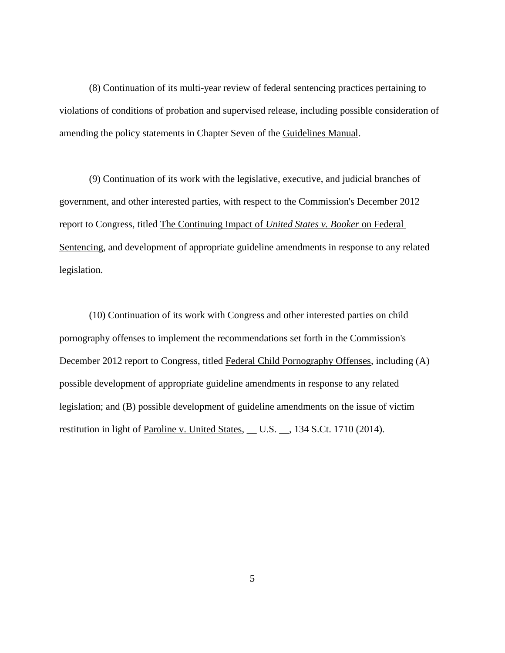(8) Continuation of its multi-year review of federal sentencing practices pertaining to violations of conditions of probation and supervised release, including possible consideration of amending the policy statements in Chapter Seven of the Guidelines Manual.

(9) Continuation of its work with the legislative, executive, and judicial branches of government, and other interested parties, with respect to the Commission's December 2012 report to Congress, titled The Continuing Impact of *United States v. Booker* on Federal Sentencing, and development of appropriate guideline amendments in response to any related legislation.

(10) Continuation of its work with Congress and other interested parties on child pornography offenses to implement the recommendations set forth in the Commission's December 2012 report to Congress, titled Federal Child Pornography Offenses, including (A) possible development of appropriate guideline amendments in response to any related legislation; and (B) possible development of guideline amendments on the issue of victim restitution in light of Paroline v. United States, \_\_ U.S. \_\_, 134 S.Ct. 1710 (2014).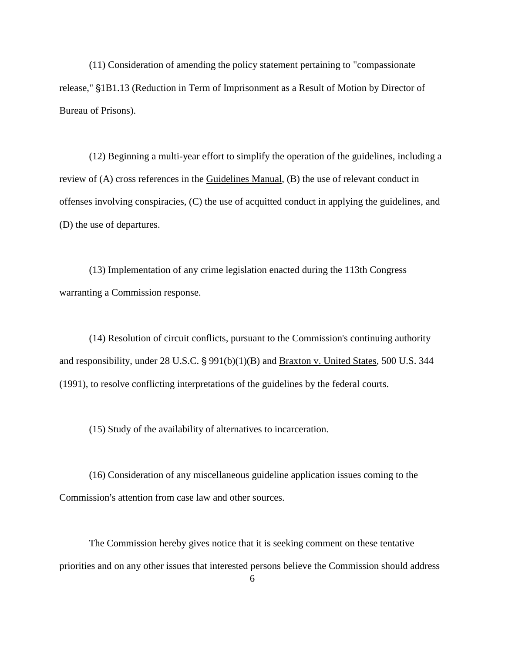(11) Consideration of amending the policy statement pertaining to "compassionate release," §1B1.13 (Reduction in Term of Imprisonment as a Result of Motion by Director of Bureau of Prisons).

(12) Beginning a multi-year effort to simplify the operation of the guidelines, including a review of (A) cross references in the Guidelines Manual, (B) the use of relevant conduct in offenses involving conspiracies, (C) the use of acquitted conduct in applying the guidelines, and (D) the use of departures.

(13) Implementation of any crime legislation enacted during the 113th Congress warranting a Commission response.

(14) Resolution of circuit conflicts, pursuant to the Commission's continuing authority and responsibility, under  $28$  U.S.C.  $\S$  991(b)(1)(B) and Braxton v. United States, 500 U.S. 344 (1991), to resolve conflicting interpretations of the guidelines by the federal courts.

(15) Study of the availability of alternatives to incarceration.

(16) Consideration of any miscellaneous guideline application issues coming to the Commission's attention from case law and other sources.

The Commission hereby gives notice that it is seeking comment on these tentative priorities and on any other issues that interested persons believe the Commission should address